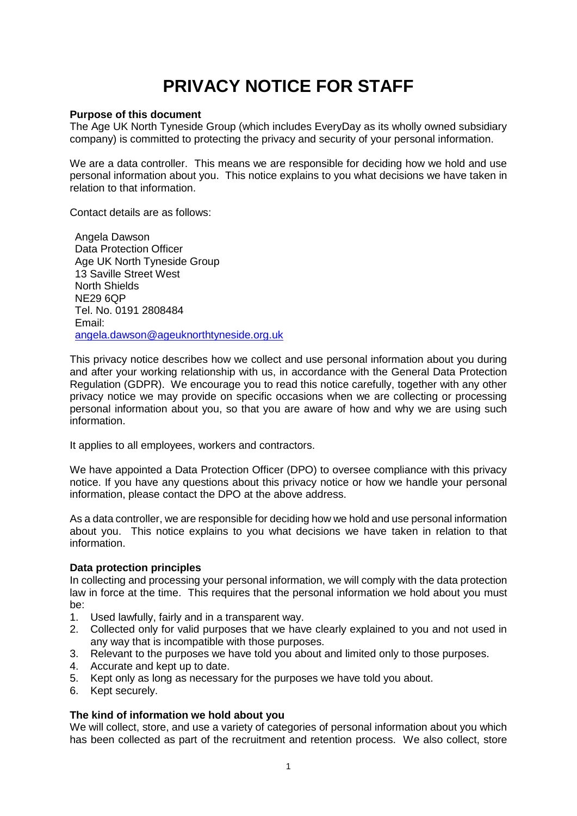# **PRIVACY NOTICE FOR STAFF**

# **Purpose of this document**

The Age UK North Tyneside Group (which includes EveryDay as its wholly owned subsidiary company) is committed to protecting the privacy and security of your personal information.

We are a data controller. This means we are responsible for deciding how we hold and use personal information about you. This notice explains to you what decisions we have taken in relation to that information.

Contact details are as follows:

Angela Dawson Data Protection Officer Age UK North Tyneside Group 13 Saville Street West North Shields NE29 6QP Tel. No. 0191 2808484 Email: [angela.dawson@ageuknorthtyneside.org.uk](mailto:angela.dawson@ageuknorthtyneside.org.uk)

This privacy notice describes how we collect and use personal information about you during and after your working relationship with us, in accordance with the General Data Protection Regulation (GDPR). We encourage you to read this notice carefully, together with any other privacy notice we may provide on specific occasions when we are collecting or processing personal information about you, so that you are aware of how and why we are using such information.

It applies to all employees, workers and contractors.

We have appointed a Data Protection Officer (DPO) to oversee compliance with this privacy notice. If you have any questions about this privacy notice or how we handle your personal information, please contact the DPO at the above address.

As a data controller, we are responsible for deciding how we hold and use personal information about you. This notice explains to you what decisions we have taken in relation to that information.

#### **Data protection principles**

In collecting and processing your personal information, we will comply with the data protection law in force at the time. This requires that the personal information we hold about you must be:

- 1. Used lawfully, fairly and in a transparent way.
- 2. Collected only for valid purposes that we have clearly explained to you and not used in any way that is incompatible with those purposes.
- 3. Relevant to the purposes we have told you about and limited only to those purposes.
- 4. Accurate and kept up to date.
- 5. Kept only as long as necessary for the purposes we have told you about.
- 6. Kept securely.

#### **The kind of information we hold about you**

We will collect, store, and use a variety of categories of personal information about you which has been collected as part of the recruitment and retention process. We also collect, store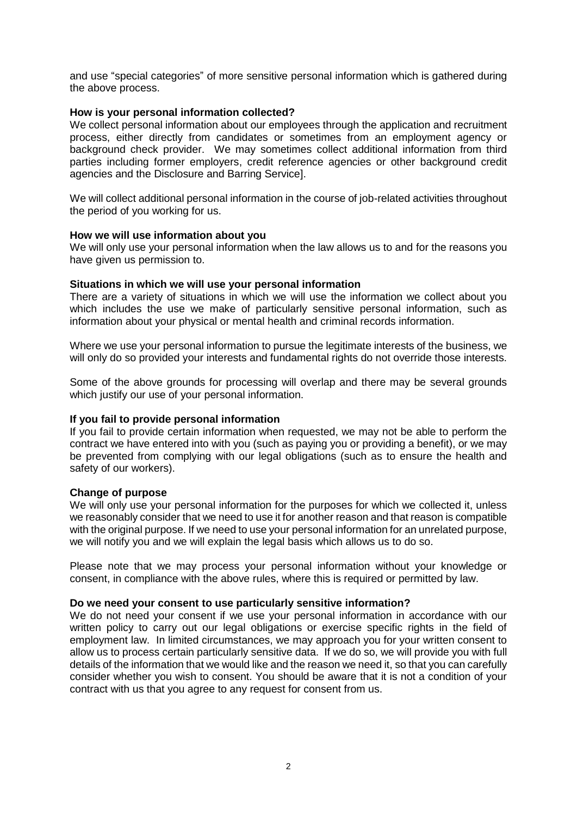and use "special categories" of more sensitive personal information which is gathered during the above process.

# **How is your personal information collected?**

We collect personal information about our employees through the application and recruitment process, either directly from candidates or sometimes from an employment agency or background check provider. We may sometimes collect additional information from third parties including former employers, credit reference agencies or other background credit agencies and the Disclosure and Barring Service].

We will collect additional personal information in the course of job-related activities throughout the period of you working for us.

#### **How we will use information about you**

We will only use your personal information when the law allows us to and for the reasons you have given us permission to.

# **Situations in which we will use your personal information**

There are a variety of situations in which we will use the information we collect about you which includes the use we make of particularly sensitive personal information, such as information about your physical or mental health and criminal records information.

Where we use your personal information to pursue the legitimate interests of the business, we will only do so provided your interests and fundamental rights do not override those interests.

Some of the above grounds for processing will overlap and there may be several grounds which justify our use of your personal information.

#### **If you fail to provide personal information**

If you fail to provide certain information when requested, we may not be able to perform the contract we have entered into with you (such as paying you or providing a benefit), or we may be prevented from complying with our legal obligations (such as to ensure the health and safety of our workers).

#### **Change of purpose**

We will only use your personal information for the purposes for which we collected it, unless we reasonably consider that we need to use it for another reason and that reason is compatible with the original purpose. If we need to use your personal information for an unrelated purpose, we will notify you and we will explain the legal basis which allows us to do so.

Please note that we may process your personal information without your knowledge or consent, in compliance with the above rules, where this is required or permitted by law.

#### **Do we need your consent to use particularly sensitive information?**

We do not need your consent if we use your personal information in accordance with our written policy to carry out our legal obligations or exercise specific rights in the field of employment law. In limited circumstances, we may approach you for your written consent to allow us to process certain particularly sensitive data. If we do so, we will provide you with full details of the information that we would like and the reason we need it, so that you can carefully consider whether you wish to consent. You should be aware that it is not a condition of your contract with us that you agree to any request for consent from us.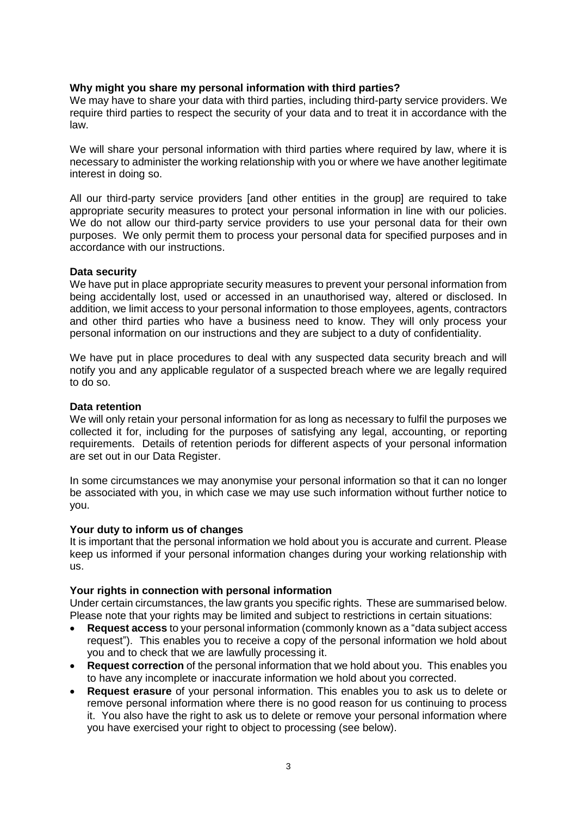# **Why might you share my personal information with third parties?**

We may have to share your data with third parties, including third-party service providers. We require third parties to respect the security of your data and to treat it in accordance with the law.

We will share your personal information with third parties where required by law, where it is necessary to administer the working relationship with you or where we have another legitimate interest in doing so.

All our third-party service providers [and other entities in the group] are required to take appropriate security measures to protect your personal information in line with our policies. We do not allow our third-party service providers to use your personal data for their own purposes. We only permit them to process your personal data for specified purposes and in accordance with our instructions.

# **Data security**

We have put in place appropriate security measures to prevent your personal information from being accidentally lost, used or accessed in an unauthorised way, altered or disclosed. In addition, we limit access to your personal information to those employees, agents, contractors and other third parties who have a business need to know. They will only process your personal information on our instructions and they are subject to a duty of confidentiality.

We have put in place procedures to deal with any suspected data security breach and will notify you and any applicable regulator of a suspected breach where we are legally required to do so.

### **Data retention**

We will only retain your personal information for as long as necessary to fulfil the purposes we collected it for, including for the purposes of satisfying any legal, accounting, or reporting requirements. Details of retention periods for different aspects of your personal information are set out in our Data Register.

In some circumstances we may anonymise your personal information so that it can no longer be associated with you, in which case we may use such information without further notice to you.

#### **Your duty to inform us of changes**

It is important that the personal information we hold about you is accurate and current. Please keep us informed if your personal information changes during your working relationship with us.

#### **Your rights in connection with personal information**

Under certain circumstances, the law grants you specific rights. These are summarised below. Please note that your rights may be limited and subject to restrictions in certain situations:

- **Request access** to your personal information (commonly known as a "data subject access request"). This enables you to receive a copy of the personal information we hold about you and to check that we are lawfully processing it.
- **Request correction** of the personal information that we hold about you. This enables you to have any incomplete or inaccurate information we hold about you corrected.
- **Request erasure** of your personal information. This enables you to ask us to delete or remove personal information where there is no good reason for us continuing to process it. You also have the right to ask us to delete or remove your personal information where you have exercised your right to object to processing (see below).